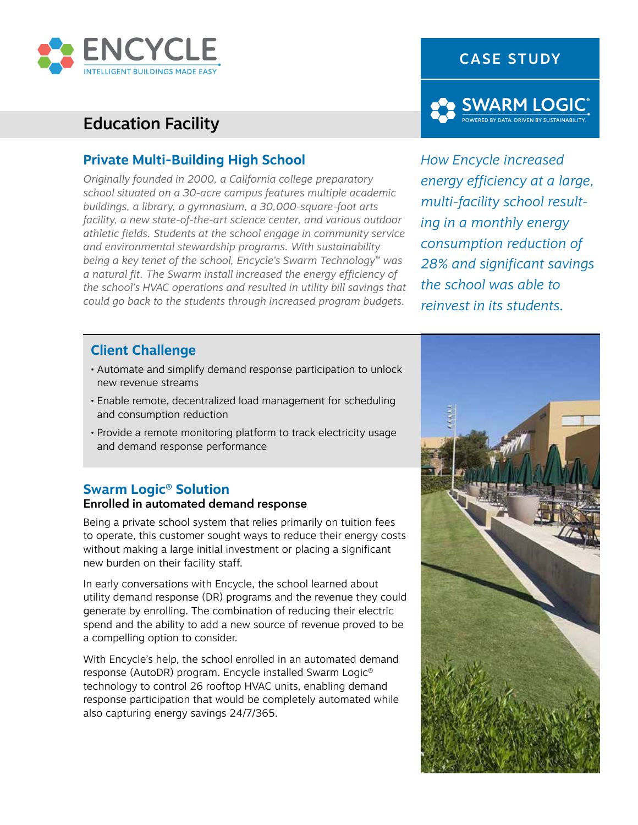

# Education Facility

## **Private Multi-Building High School**

*Originally founded in 2000, a California college preparatory school situated on a 30-acre campus features multiple academic buildings, a library, a gymnasium, a 30,000-square-foot arts facility, a new state-of-the-art science center, and various outdoor athletic fields. Students at the school engage in community service and environmental stewardship programs. With sustainability being a key tenet of the school, Encycle's Swarm Technology™ was a natural fit. The Swarm install increased the energy efficiency of the school's HVAC operations and resulted in utility bill savings that could go back to the students through increased program budgets.*

# CASE STUDY



*How Encycle increased energy efficiency at a large, multi-facility school resulting in a monthly energy consumption reduction of 28% and significant savings the school was able to reinvest in its students.*

### **Client Challenge**

- Automate and simplify demand response participation to unlock new revenue streams
- Enable remote, decentralized load management for scheduling and consumption reduction
- Provide a remote monitoring platform to track electricity usage and demand response performance

# **Swarm Logic® Solution**

#### **Enrolled in automated demand response**

Being a private school system that relies primarily on tuition fees to operate, this customer sought ways to reduce their energy costs without making a large initial investment or placing a significant new burden on their facility staff.

In early conversations with Encycle, the school learned about utility demand response (DR) programs and the revenue they could generate by enrolling. The combination of reducing their electric spend and the ability to add a new source of revenue proved to be a compelling option to consider.

With Encycle's help, the school enrolled in an automated demand response (AutoDR) program. Encycle installed Swarm Logic® technology to control 26 rooftop HVAC units, enabling demand response participation that would be completely automated while also capturing energy savings 24/7/365.